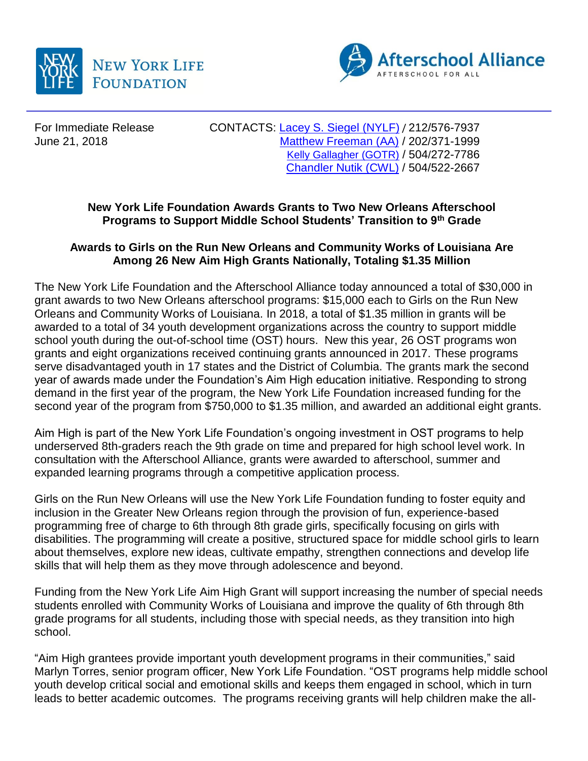



For Immediate Release CONTACTS: [Lacey S. Siegel \(NYLF\)](mailto:lacey_s_siegel@newyorklife.com) / 212/576-7937 June 21, 2018 Matthew [Freeman](mailto:matt@prsolutionsdc.com) (AA) / 202/371-1999 [Kelly Gallagher](mailto:kelly@gotrnola.org) (GOTR) / 504/272-7786 [Chandler Nutik](mailto:cnutik@communityworksla.org) (CWL) / 504/522-2667

## **New York Life Foundation Awards Grants to Two New Orleans Afterschool Programs to Support Middle School Students' Transition to 9th Grade**

## **Awards to Girls on the Run New Orleans and Community Works of Louisiana Are Among 26 New Aim High Grants Nationally, Totaling \$1.35 Million**

The New York Life Foundation and the Afterschool Alliance today announced a total of \$30,000 in grant awards to two New Orleans afterschool programs: \$15,000 each to Girls on the Run New Orleans and Community Works of Louisiana. In 2018, a total of \$1.35 million in grants will be awarded to a total of 34 youth development organizations across the country to support middle school youth during the out-of-school time (OST) hours. New this year, 26 OST programs won grants and eight organizations received continuing grants announced in 2017. These programs serve disadvantaged youth in 17 states and the District of Columbia. The grants mark the second year of awards made under the Foundation's Aim High education initiative. Responding to strong demand in the first year of the program, the New York Life Foundation increased funding for the second year of the program from \$750,000 to \$1.35 million, and awarded an additional eight grants.

Aim High is part of the New York Life Foundation's ongoing investment in OST programs to help underserved 8th-graders reach the 9th grade on time and prepared for high school level work. In consultation with the Afterschool Alliance, grants were awarded to afterschool, summer and expanded learning programs through a competitive application process.

Girls on the Run New Orleans will use the New York Life Foundation funding to foster equity and inclusion in the Greater New Orleans region through the provision of fun, experience-based programming free of charge to 6th through 8th grade girls, specifically focusing on girls with disabilities. The programming will create a positive, structured space for middle school girls to learn about themselves, explore new ideas, cultivate empathy, strengthen connections and develop life skills that will help them as they move through adolescence and beyond.

Funding from the New York Life Aim High Grant will support increasing the number of special needs students enrolled with Community Works of Louisiana and improve the quality of 6th through 8th grade programs for all students, including those with special needs, as they transition into high school.

"Aim High grantees provide important youth development programs in their communities," said Marlyn Torres, senior program officer, New York Life Foundation. "OST programs help middle school youth develop critical social and emotional skills and keeps them engaged in school, which in turn leads to better academic outcomes. The programs receiving grants will help children make the all-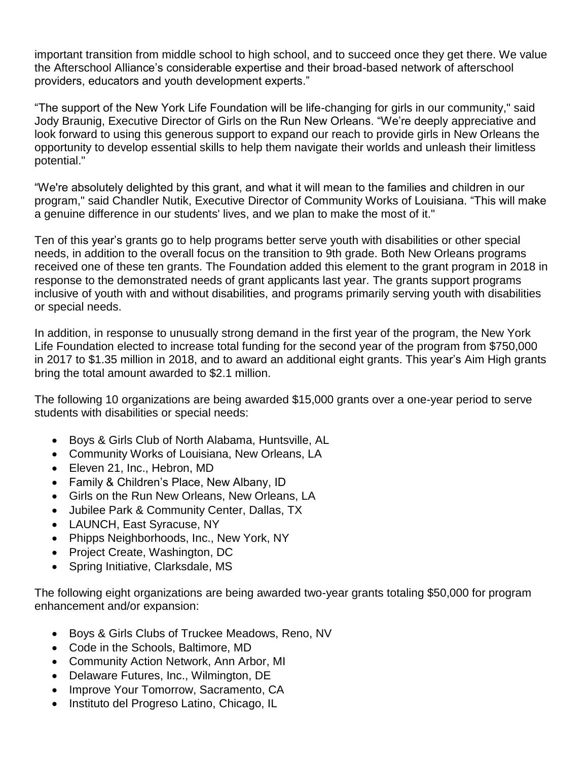important transition from middle school to high school, and to succeed once they get there. We value the Afterschool Alliance's considerable expertise and their broad-based network of afterschool providers, educators and youth development experts."

"The support of the New York Life Foundation will be life-changing for girls in our community," said Jody Braunig, Executive Director of Girls on the Run New Orleans. "We're deeply appreciative and look forward to using this generous support to expand our reach to provide girls in New Orleans the opportunity to develop essential skills to help them navigate their worlds and unleash their limitless potential."

"We're absolutely delighted by this grant, and what it will mean to the families and children in our program," said Chandler Nutik, Executive Director of Community Works of Louisiana. "This will make a genuine difference in our students' lives, and we plan to make the most of it."

Ten of this year's grants go to help programs better serve youth with disabilities or other special needs, in addition to the overall focus on the transition to 9th grade. Both New Orleans programs received one of these ten grants. The Foundation added this element to the grant program in 2018 in response to the demonstrated needs of grant applicants last year. The grants support programs inclusive of youth with and without disabilities, and programs primarily serving youth with disabilities or special needs.

In addition, in response to unusually strong demand in the first year of the program, the New York Life Foundation elected to increase total funding for the second year of the program from \$750,000 in 2017 to \$1.35 million in 2018, and to award an additional eight grants. This year's Aim High grants bring the total amount awarded to \$2.1 million.

The following 10 organizations are being awarded \$15,000 grants over a one-year period to serve students with disabilities or special needs:

- Boys & Girls Club of North Alabama, Huntsville, AL
- Community Works of Louisiana, New Orleans, LA
- Eleven 21, Inc., Hebron, MD
- Family & Children's Place, New Albany, ID
- Girls on the Run New Orleans, New Orleans, LA
- Jubilee Park & Community Center, Dallas, TX
- LAUNCH, East Syracuse, NY
- Phipps Neighborhoods, Inc., New York, NY
- Project Create, Washington, DC
- Spring Initiative, Clarksdale, MS

The following eight organizations are being awarded two-year grants totaling \$50,000 for program enhancement and/or expansion:

- Boys & Girls Clubs of Truckee Meadows, Reno, NV
- Code in the Schools, Baltimore, MD
- Community Action Network, Ann Arbor, MI
- Delaware Futures, Inc., Wilmington, DE
- Improve Your Tomorrow, Sacramento, CA
- Instituto del Progreso Latino, Chicago, IL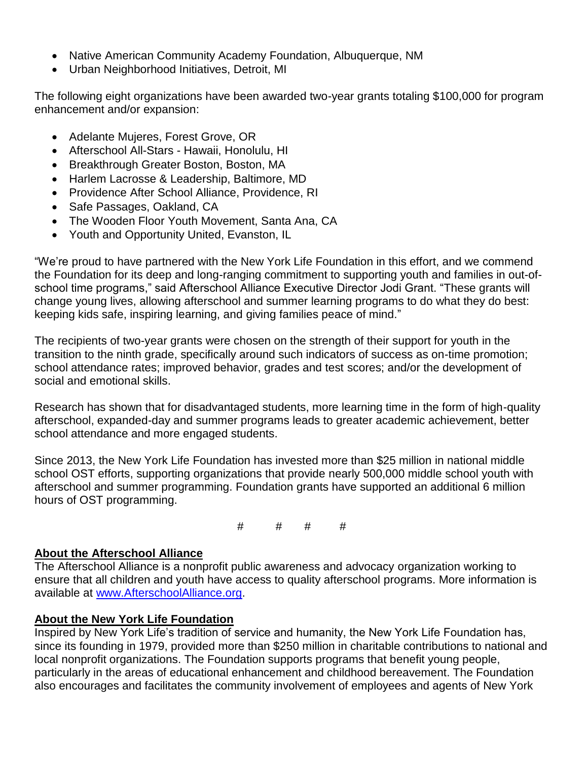- Native American Community Academy Foundation, Albuquerque, NM
- Urban Neighborhood Initiatives, Detroit, MI

The following eight organizations have been awarded two-year grants totaling \$100,000 for program enhancement and/or expansion:

- Adelante Mujeres, Forest Grove, OR
- Afterschool All-Stars Hawaii, Honolulu, HI
- Breakthrough Greater Boston, Boston, MA
- Harlem Lacrosse & Leadership, Baltimore, MD
- Providence After School Alliance, Providence, RI
- Safe Passages, Oakland, CA
- The Wooden Floor Youth Movement, Santa Ana, CA
- Youth and Opportunity United, Evanston, IL

"We're proud to have partnered with the New York Life Foundation in this effort, and we commend the Foundation for its deep and long-ranging commitment to supporting youth and families in out-ofschool time programs," said Afterschool Alliance Executive Director Jodi Grant. "These grants will change young lives, allowing afterschool and summer learning programs to do what they do best: keeping kids safe, inspiring learning, and giving families peace of mind."

The recipients of two-year grants were chosen on the strength of their support for youth in the transition to the ninth grade, specifically around such indicators of success as on-time promotion; school attendance rates; improved behavior, grades and test scores; and/or the development of social and emotional skills.

Research has shown that for disadvantaged students, more learning time in the form of high-quality afterschool, expanded-day and summer programs leads to greater academic achievement, better school attendance and more engaged students.

Since 2013, the New York Life Foundation has invested more than \$25 million in national middle school OST efforts, supporting organizations that provide nearly 500,000 middle school youth with afterschool and summer programming. Foundation grants have supported an additional 6 million hours of OST programming.

 $\#$   $\#$   $\#$   $\#$ 

## **About the Afterschool Alliance**

The Afterschool Alliance is a nonprofit public awareness and advocacy organization working to ensure that all children and youth have access to quality afterschool programs. More information is available at [www.AfterschoolAlliance.org.](http://www.afterschoolalliance.org/)

## **About the New York Life Foundation**

Inspired by New York Life's tradition of service and humanity, the New York Life Foundation has, since its founding in 1979, provided more than \$250 million in charitable contributions to national and local nonprofit organizations. The Foundation supports programs that benefit young people, particularly in the areas of educational enhancement and childhood bereavement. The Foundation also encourages and facilitates the community involvement of employees and agents of New York